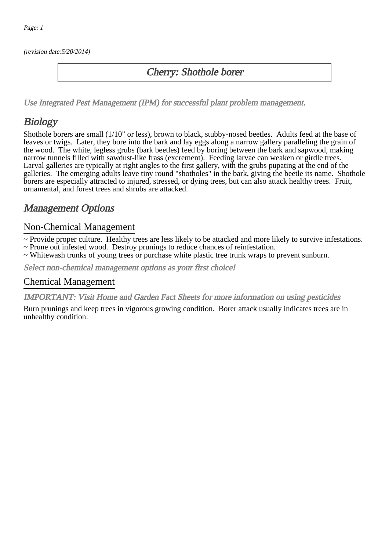(revision date:5/20/2014)

### Cherry: Shothole borer

[Use Integrated Pest Management \(IPM\) for successful plant problem management.](http://pep.wsu.edu/Home_Garden/H_G_Pesticide_info/urban_Integrated_Pest_Managmen/)

## **Biology**

Shothole borers are small (1/10" or less), brown to black, stubby-nosed beetles. Adults feed at the base of leaves or twigs. Later, they bore into the bark and lay eggs along a narrow gallery paralleling the grain of the wood. The white, legless grubs (bark beetles) feed by boring between the bark and sapwood, making narrow tunnels filled with sawdust-like frass (excrement). Feeding larvae can weaken or girdle trees. Larval galleries are typically at right angles to the first gallery, with the grubs pupating at the end of the galleries. The emerging adults leave tiny round "shotholes" in the bark, giving the beetle its name. Shothole borers are especially attracted to injured, stressed, or dying trees, but can also attack healthy trees. Fruit, ornamental, and forest trees and shrubs are attacked.

## Management Options

#### Non-Chemical Management

~ Provide proper culture. Healthy trees are less likely to be attacked and more likely to survive infestations.

- ~ Prune out infested wood. Destroy prunings to reduce chances of reinfestation.
- ~ Whitewash trunks of young trees or purchase white plastic tree trunk wraps to prevent sunburn.

Select non-chemical management options as your first choice!

#### Chemical Management

IMPORTANT: [Visit Home and Garden Fact Sheets for more information on using pesticides](http://pep.wsu.edu/Home_Garden/H_G_Pesticide_info/)

Burn prunings and keep trees in vigorous growing condition. Borer attack usually indicates trees are in unhealthy condition.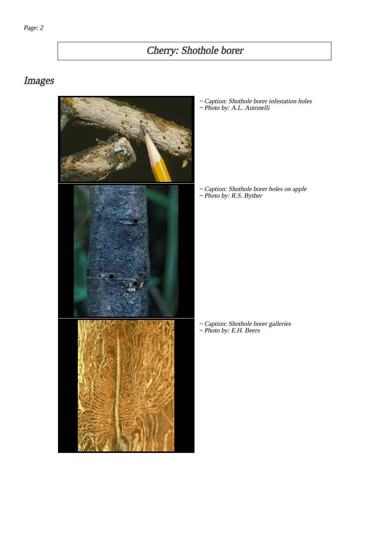# Cherry: Shothole borer

# Images



~ Caption: Shothole borer infestation holes ~ Photo by: A.L. Antonelli

~ Caption: Shothole borer holes on apple ~ Photo by: R.S. Byther

~ Caption: Shothole borer galleries ~ Photo by: E.H. Beers